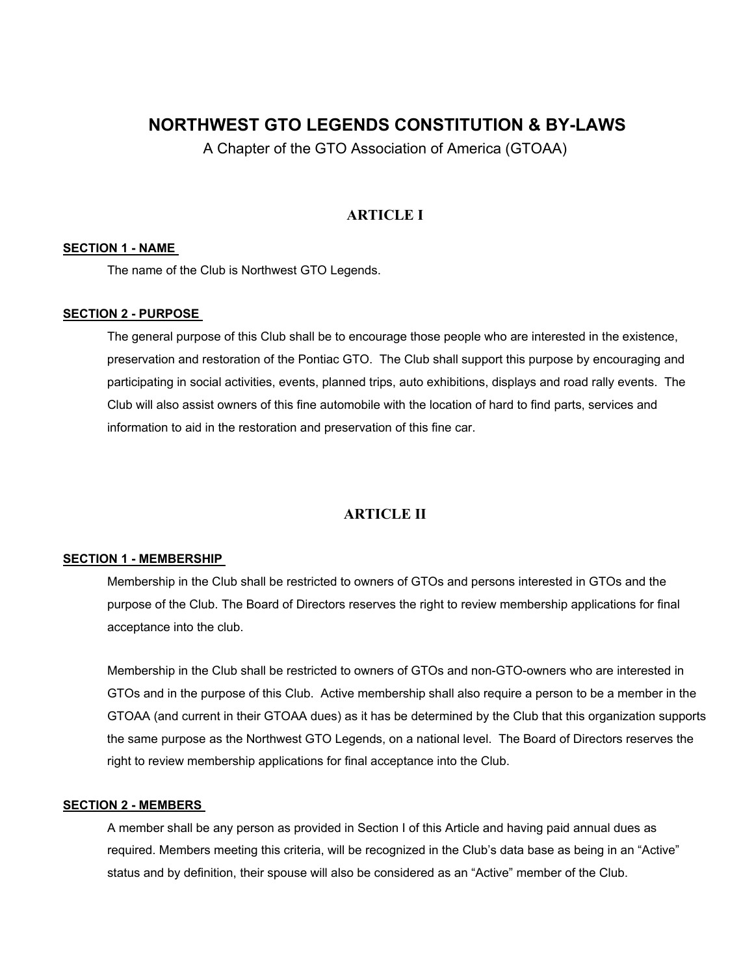# **NORTHWEST GTO LEGENDS CONSTITUTION & BY-LAWS**

A Chapter of the GTO Association of America (GTOAA)

# **ARTICLE I**

### **SECTION 1 - NAME**

The name of the Club is Northwest GTO Legends.

### **SECTION 2 - PURPOSE**

The general purpose of this Club shall be to encourage those people who are interested in the existence, preservation and restoration of the Pontiac GTO. The Club shall support this purpose by encouraging and participating in social activities, events, planned trips, auto exhibitions, displays and road rally events. The Club will also assist owners of this fine automobile with the location of hard to find parts, services and information to aid in the restoration and preservation of this fine car.

# **ARTICLE II**

### **SECTION 1 - MEMBERSHIP**

Membership in the Club shall be restricted to owners of GTOs and persons interested in GTOs and the purpose of the Club. The Board of Directors reserves the right to review membership applications for final acceptance into the club.

Membership in the Club shall be restricted to owners of GTOs and non-GTO-owners who are interested in GTOs and in the purpose of this Club. Active membership shall also require a person to be a member in the GTOAA (and current in their GTOAA dues) as it has be determined by the Club that this organization supports the same purpose as the Northwest GTO Legends, on a national level. The Board of Directors reserves the right to review membership applications for final acceptance into the Club.

### **SECTION 2 - MEMBERS**

A member shall be any person as provided in Section I of this Article and having paid annual dues as required. Members meeting this criteria, will be recognized in the Club's data base as being in an "Active" status and by definition, their spouse will also be considered as an "Active" member of the Club.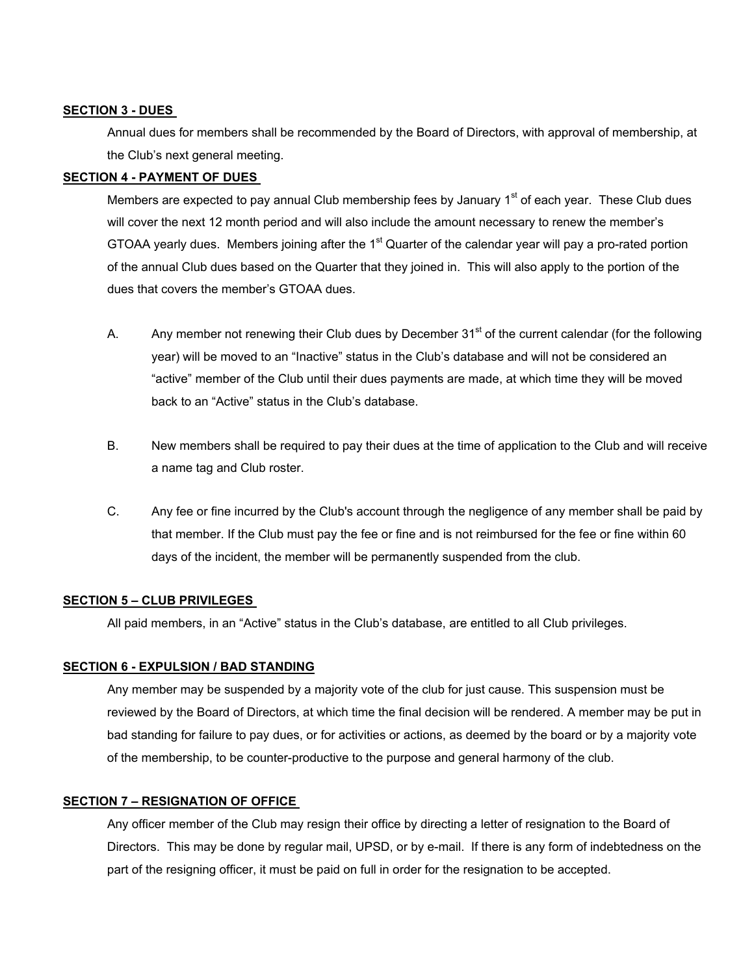#### **SECTION 3 - DUES**

Annual dues for members shall be recommended by the Board of Directors, with approval of membership, at the Club's next general meeting.

# **SECTION 4 - PAYMENT OF DUES**

Members are expected to pay annual Club membership fees by January  $1<sup>st</sup>$  of each year. These Club dues will cover the next 12 month period and will also include the amount necessary to renew the member's GTOAA yearly dues. Members joining after the 1<sup>st</sup> Quarter of the calendar year will pay a pro-rated portion of the annual Club dues based on the Quarter that they joined in. This will also apply to the portion of the dues that covers the member's GTOAA dues.

- A. Any member not renewing their Club dues by December 31<sup>st</sup> of the current calendar (for the following year) will be moved to an "Inactive" status in the Club's database and will not be considered an "active" member of the Club until their dues payments are made, at which time they will be moved back to an "Active" status in the Club's database.
- B. New members shall be required to pay their dues at the time of application to the Club and will receive a name tag and Club roster.
- C. Any fee or fine incurred by the Club's account through the negligence of any member shall be paid by that member. If the Club must pay the fee or fine and is not reimbursed for the fee or fine within 60 days of the incident, the member will be permanently suspended from the club.

### **SECTION 5 – CLUB PRIVILEGES**

All paid members, in an "Active" status in the Club's database, are entitled to all Club privileges.

### **SECTION 6 - EXPULSION / BAD STANDING**

Any member may be suspended by a majority vote of the club for just cause. This suspension must be reviewed by the Board of Directors, at which time the final decision will be rendered. A member may be put in bad standing for failure to pay dues, or for activities or actions, as deemed by the board or by a majority vote of the membership, to be counter-productive to the purpose and general harmony of the club.

#### **SECTION 7 – RESIGNATION OF OFFICE**

Any officer member of the Club may resign their office by directing a letter of resignation to the Board of Directors. This may be done by regular mail, UPSD, or by e-mail. If there is any form of indebtedness on the part of the resigning officer, it must be paid on full in order for the resignation to be accepted.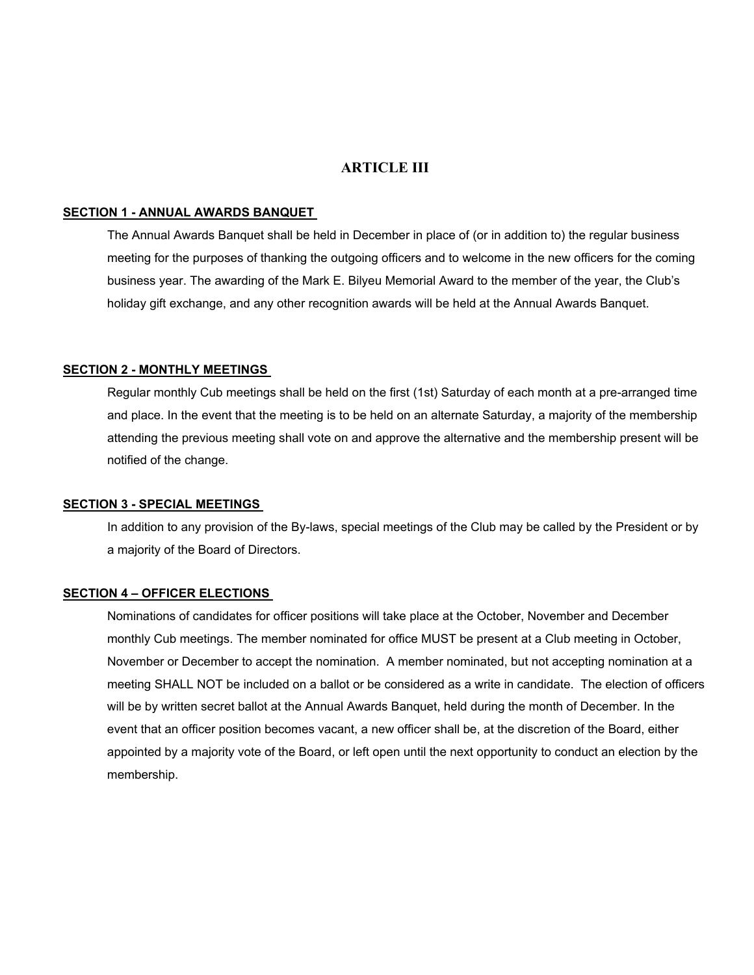# **ARTICLE III**

#### **SECTION 1 - ANNUAL AWARDS BANQUET**

The Annual Awards Banquet shall be held in December in place of (or in addition to) the regular business meeting for the purposes of thanking the outgoing officers and to welcome in the new officers for the coming business year. The awarding of the Mark E. Bilyeu Memorial Award to the member of the year, the Club's holiday gift exchange, and any other recognition awards will be held at the Annual Awards Banquet.

#### **SECTION 2 - MONTHLY MEETINGS**

Regular monthly Cub meetings shall be held on the first (1st) Saturday of each month at a pre-arranged time and place. In the event that the meeting is to be held on an alternate Saturday, a majority of the membership attending the previous meeting shall vote on and approve the alternative and the membership present will be notified of the change.

### **SECTION 3 - SPECIAL MEETINGS**

In addition to any provision of the By-laws, special meetings of the Club may be called by the President or by a majority of the Board of Directors.

### **SECTION 4 – OFFICER ELECTIONS**

Nominations of candidates for officer positions will take place at the October, November and December monthly Cub meetings. The member nominated for office MUST be present at a Club meeting in October, November or December to accept the nomination. A member nominated, but not accepting nomination at a meeting SHALL NOT be included on a ballot or be considered as a write in candidate. The election of officers will be by written secret ballot at the Annual Awards Banquet, held during the month of December. In the event that an officer position becomes vacant, a new officer shall be, at the discretion of the Board, either appointed by a majority vote of the Board, or left open until the next opportunity to conduct an election by the membership.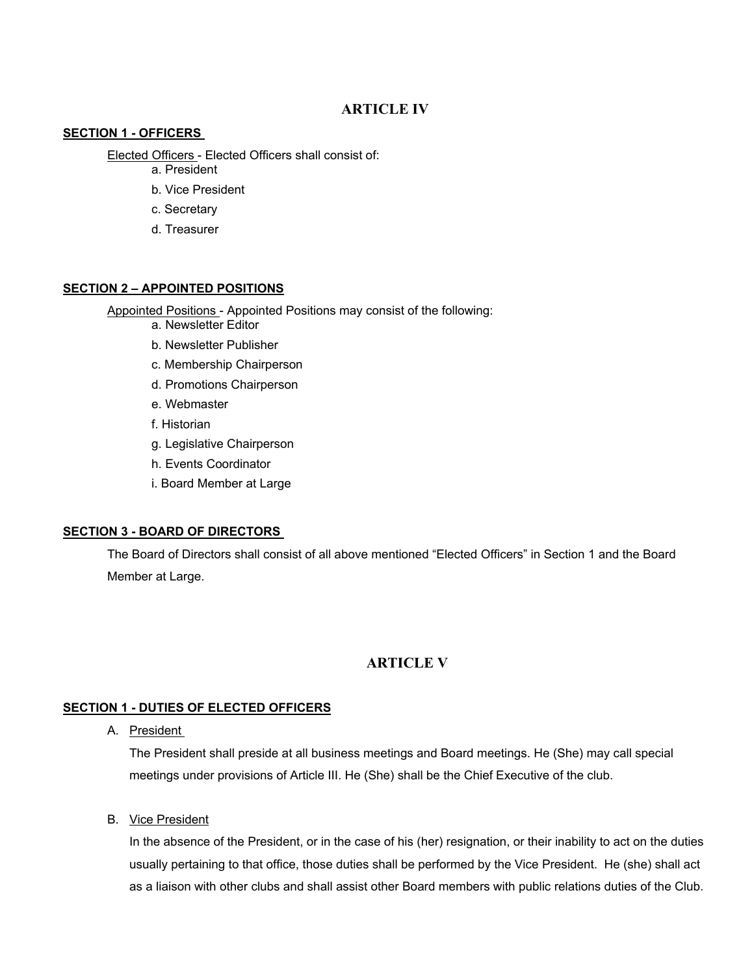# **ARTICLE IV**

### **SECTION 1 - OFFICERS**

Elected Officers - Elected Officers shall consist of:

- a. President
- b. Vice President
- c. Secretary
- d. Treasurer

### **SECTION 2 – APPOINTED POSITIONS**

Appointed Positions - Appointed Positions may consist of the following:

- a. Newsletter Editor
- b. Newsletter Publisher
- c. Membership Chairperson
- d. Promotions Chairperson
- e. Webmaster
- f. Historian
- g. Legislative Chairperson
- h. Events Coordinator
- i. Board Member at Large

# **SECTION 3 - BOARD OF DIRECTORS**

The Board of Directors shall consist of all above mentioned "Elected Officers" in Section 1 and the Board Member at Large.

# **ARTICLE V**

# **SECTION 1 - DUTIES OF ELECTED OFFICERS**

A. President

The President shall preside at all business meetings and Board meetings. He (She) may call special meetings under provisions of Article III. He (She) shall be the Chief Executive of the club.

B. Vice President

In the absence of the President, or in the case of his (her) resignation, or their inability to act on the duties usually pertaining to that office, those duties shall be performed by the Vice President. He (she) shall act as a liaison with other clubs and shall assist other Board members with public relations duties of the Club.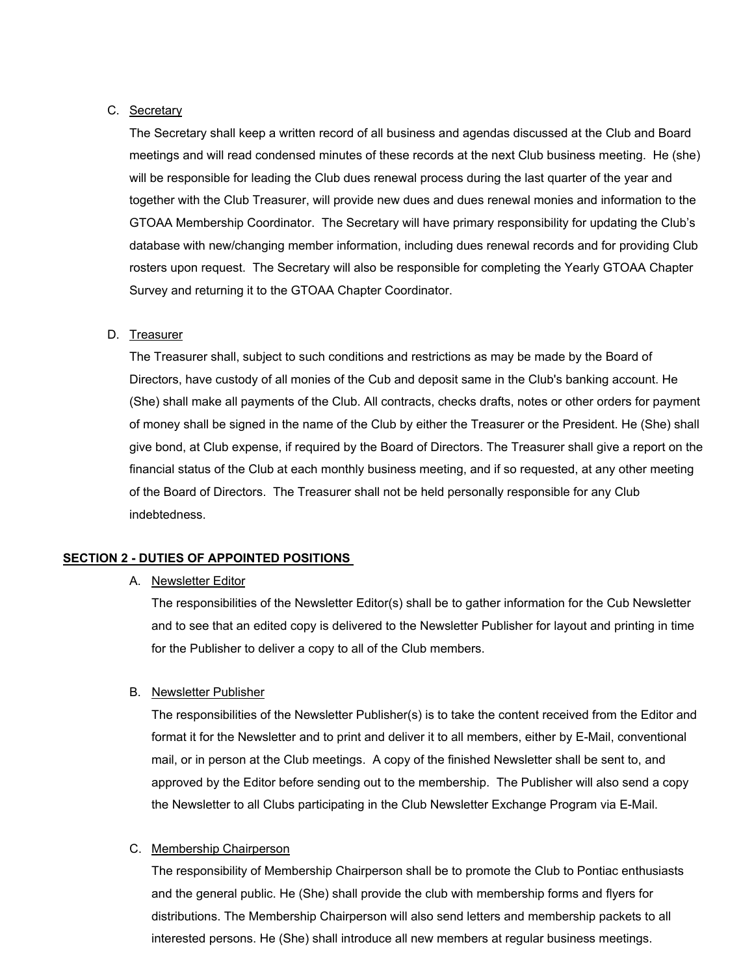#### C. Secretary

The Secretary shall keep a written record of all business and agendas discussed at the Club and Board meetings and will read condensed minutes of these records at the next Club business meeting. He (she) will be responsible for leading the Club dues renewal process during the last quarter of the year and together with the Club Treasurer, will provide new dues and dues renewal monies and information to the GTOAA Membership Coordinator. The Secretary will have primary responsibility for updating the Club's database with new/changing member information, including dues renewal records and for providing Club rosters upon request. The Secretary will also be responsible for completing the Yearly GTOAA Chapter Survey and returning it to the GTOAA Chapter Coordinator.

### D. Treasurer

The Treasurer shall, subject to such conditions and restrictions as may be made by the Board of Directors, have custody of all monies of the Cub and deposit same in the Club's banking account. He (She) shall make all payments of the Club. All contracts, checks drafts, notes or other orders for payment of money shall be signed in the name of the Club by either the Treasurer or the President. He (She) shall give bond, at Club expense, if required by the Board of Directors. The Treasurer shall give a report on the financial status of the Club at each monthly business meeting, and if so requested, at any other meeting of the Board of Directors. The Treasurer shall not be held personally responsible for any Club indebtedness.

### **SECTION 2 - DUTIES OF APPOINTED POSITIONS**

#### A. Newsletter Editor

The responsibilities of the Newsletter Editor(s) shall be to gather information for the Cub Newsletter and to see that an edited copy is delivered to the Newsletter Publisher for layout and printing in time for the Publisher to deliver a copy to all of the Club members.

#### B. Newsletter Publisher

The responsibilities of the Newsletter Publisher(s) is to take the content received from the Editor and format it for the Newsletter and to print and deliver it to all members, either by E-Mail, conventional mail, or in person at the Club meetings. A copy of the finished Newsletter shall be sent to, and approved by the Editor before sending out to the membership. The Publisher will also send a copy the Newsletter to all Clubs participating in the Club Newsletter Exchange Program via E-Mail.

#### C. Membership Chairperson

The responsibility of Membership Chairperson shall be to promote the Club to Pontiac enthusiasts and the general public. He (She) shall provide the club with membership forms and flyers for distributions. The Membership Chairperson will also send letters and membership packets to all interested persons. He (She) shall introduce all new members at regular business meetings.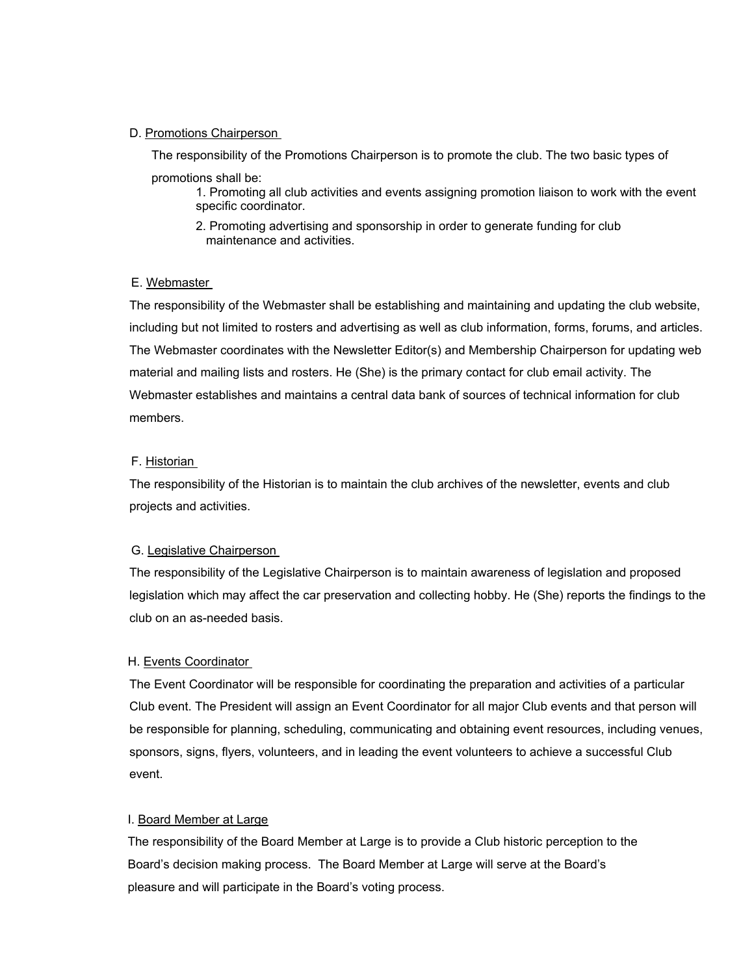### D. Promotions Chairperson

The responsibility of the Promotions Chairperson is to promote the club. The two basic types of promotions shall be:

1. Promoting all club activities and events assigning promotion liaison to work with the event specific coordinator.

2. Promoting advertising and sponsorship in order to generate funding for club maintenance and activities.

### E. Webmaster

The responsibility of the Webmaster shall be establishing and maintaining and updating the club website, including but not limited to rosters and advertising as well as club information, forms, forums, and articles. The Webmaster coordinates with the Newsletter Editor(s) and Membership Chairperson for updating web material and mailing lists and rosters. He (She) is the primary contact for club email activity. The Webmaster establishes and maintains a central data bank of sources of technical information for club members.

### F. Historian

The responsibility of the Historian is to maintain the club archives of the newsletter, events and club projects and activities.

### G. Legislative Chairperson

The responsibility of the Legislative Chairperson is to maintain awareness of legislation and proposed legislation which may affect the car preservation and collecting hobby. He (She) reports the findings to the club on an as-needed basis.

# H. Events Coordinator

The Event Coordinator will be responsible for coordinating the preparation and activities of a particular Club event. The President will assign an Event Coordinator for all major Club events and that person will be responsible for planning, scheduling, communicating and obtaining event resources, including venues, sponsors, signs, flyers, volunteers, and in leading the event volunteers to achieve a successful Club event.

# I. Board Member at Large

 The responsibility of the Board Member at Large is to provide a Club historic perception to the Board's decision making process. The Board Member at Large will serve at the Board's pleasure and will participate in the Board's voting process.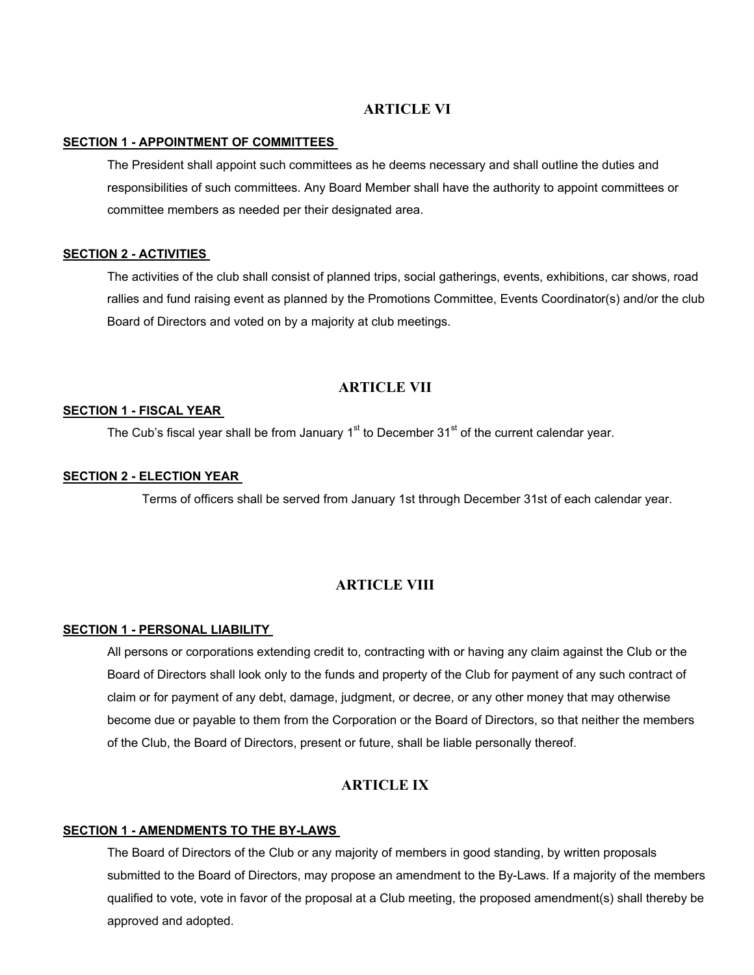# **ARTICLE VI**

#### **SECTION 1 - APPOINTMENT OF COMMITTEES**

The President shall appoint such committees as he deems necessary and shall outline the duties and responsibilities of such committees. Any Board Member shall have the authority to appoint committees or committee members as needed per their designated area.

#### **SECTION 2 - ACTIVITIES**

The activities of the club shall consist of planned trips, social gatherings, events, exhibitions, car shows, road rallies and fund raising event as planned by the Promotions Committee, Events Coordinator(s) and/or the club Board of Directors and voted on by a majority at club meetings.

### **ARTICLE VII**

### **SECTION 1 - FISCAL YEAR**

The Cub's fiscal year shall be from January  $1<sup>st</sup>$  to December 31 $<sup>st</sup>$  of the current calendar year.</sup>

### **SECTION 2 - ELECTION YEAR**

Terms of officers shall be served from January 1st through December 31st of each calendar year.

# **ARTICLE VIII**

### **SECTION 1 - PERSONAL LIABILITY**

All persons or corporations extending credit to, contracting with or having any claim against the Club or the Board of Directors shall look only to the funds and property of the Club for payment of any such contract of claim or for payment of any debt, damage, judgment, or decree, or any other money that may otherwise become due or payable to them from the Corporation or the Board of Directors, so that neither the members of the Club, the Board of Directors, present or future, shall be liable personally thereof.

# **ARTICLE IX**

#### **SECTION 1 - AMENDMENTS TO THE BY-LAWS**

The Board of Directors of the Club or any majority of members in good standing, by written proposals submitted to the Board of Directors, may propose an amendment to the By-Laws. If a majority of the members qualified to vote, vote in favor of the proposal at a Club meeting, the proposed amendment(s) shall thereby be approved and adopted.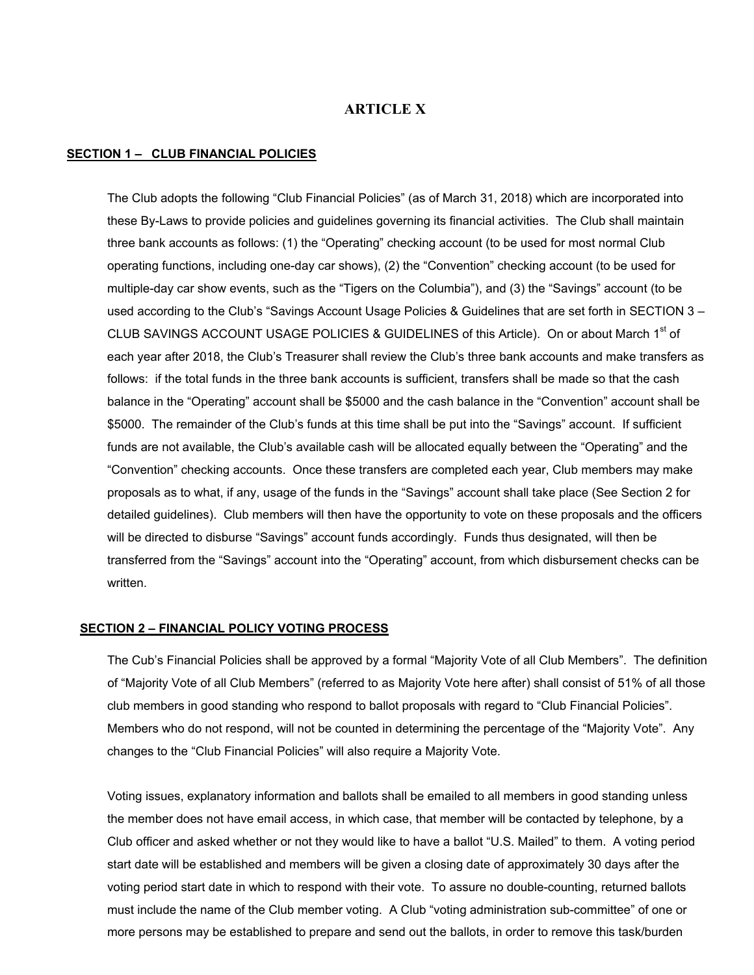# **ARTICLE X**

#### **SECTION 1 – CLUB FINANCIAL POLICIES**

The Club adopts the following "Club Financial Policies" (as of March 31, 2018) which are incorporated into these By-Laws to provide policies and guidelines governing its financial activities. The Club shall maintain three bank accounts as follows: (1) the "Operating" checking account (to be used for most normal Club operating functions, including one-day car shows), (2) the "Convention" checking account (to be used for multiple-day car show events, such as the "Tigers on the Columbia"), and (3) the "Savings" account (to be used according to the Club's "Savings Account Usage Policies & Guidelines that are set forth in SECTION 3 – CLUB SAVINGS ACCOUNT USAGE POLICIES & GUIDELINES of this Article). On or about March 1<sup>st</sup> of each year after 2018, the Club's Treasurer shall review the Club's three bank accounts and make transfers as follows: if the total funds in the three bank accounts is sufficient, transfers shall be made so that the cash balance in the "Operating" account shall be \$5000 and the cash balance in the "Convention" account shall be \$5000. The remainder of the Club's funds at this time shall be put into the "Savings" account. If sufficient funds are not available, the Club's available cash will be allocated equally between the "Operating" and the "Convention" checking accounts. Once these transfers are completed each year, Club members may make proposals as to what, if any, usage of the funds in the "Savings" account shall take place (See Section 2 for detailed guidelines). Club members will then have the opportunity to vote on these proposals and the officers will be directed to disburse "Savings" account funds accordingly. Funds thus designated, will then be transferred from the "Savings" account into the "Operating" account, from which disbursement checks can be written.

#### **SECTION 2 – FINANCIAL POLICY VOTING PROCESS**

The Cub's Financial Policies shall be approved by a formal "Majority Vote of all Club Members". The definition of "Majority Vote of all Club Members" (referred to as Majority Vote here after) shall consist of 51% of all those club members in good standing who respond to ballot proposals with regard to "Club Financial Policies". Members who do not respond, will not be counted in determining the percentage of the "Majority Vote". Any changes to the "Club Financial Policies" will also require a Majority Vote.

Voting issues, explanatory information and ballots shall be emailed to all members in good standing unless the member does not have email access, in which case, that member will be contacted by telephone, by a Club officer and asked whether or not they would like to have a ballot "U.S. Mailed" to them. A voting period start date will be established and members will be given a closing date of approximately 30 days after the voting period start date in which to respond with their vote. To assure no double-counting, returned ballots must include the name of the Club member voting. A Club "voting administration sub-committee" of one or more persons may be established to prepare and send out the ballots, in order to remove this task/burden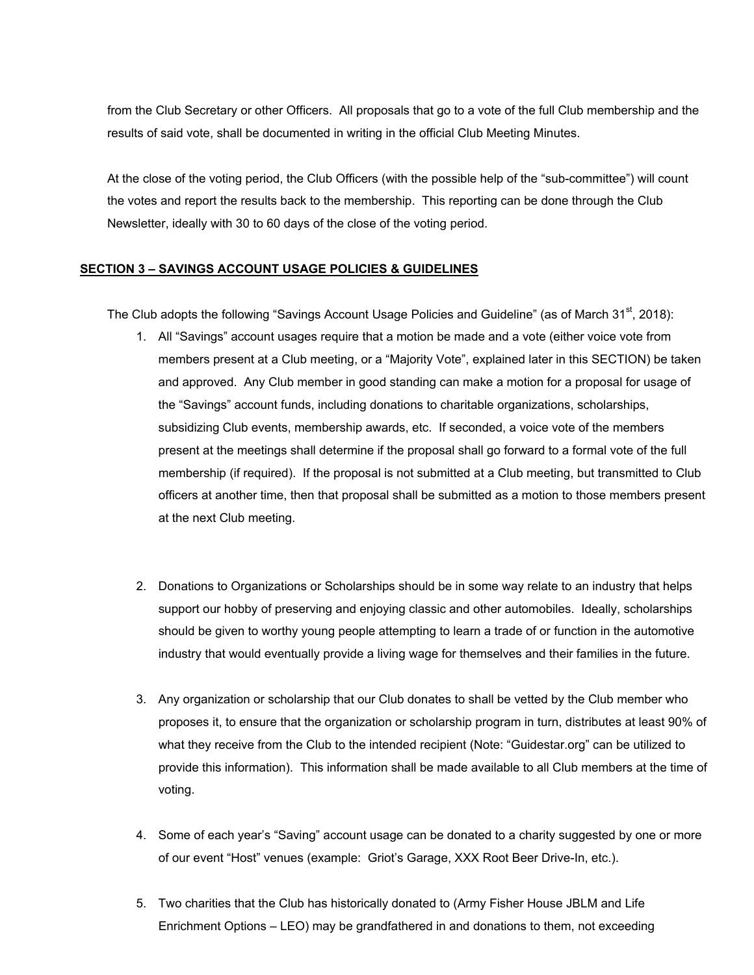from the Club Secretary or other Officers. All proposals that go to a vote of the full Club membership and the results of said vote, shall be documented in writing in the official Club Meeting Minutes.

At the close of the voting period, the Club Officers (with the possible help of the "sub-committee") will count the votes and report the results back to the membership. This reporting can be done through the Club Newsletter, ideally with 30 to 60 days of the close of the voting period.

# **SECTION 3 – SAVINGS ACCOUNT USAGE POLICIES & GUIDELINES**

The Club adopts the following "Savings Account Usage Policies and Guideline" (as of March 31 $st$ , 2018):

- 1. All "Savings" account usages require that a motion be made and a vote (either voice vote from members present at a Club meeting, or a "Majority Vote", explained later in this SECTION) be taken and approved. Any Club member in good standing can make a motion for a proposal for usage of the "Savings" account funds, including donations to charitable organizations, scholarships, subsidizing Club events, membership awards, etc. If seconded, a voice vote of the members present at the meetings shall determine if the proposal shall go forward to a formal vote of the full membership (if required). If the proposal is not submitted at a Club meeting, but transmitted to Club officers at another time, then that proposal shall be submitted as a motion to those members present at the next Club meeting.
- 2. Donations to Organizations or Scholarships should be in some way relate to an industry that helps support our hobby of preserving and enjoying classic and other automobiles. Ideally, scholarships should be given to worthy young people attempting to learn a trade of or function in the automotive industry that would eventually provide a living wage for themselves and their families in the future.
- 3. Any organization or scholarship that our Club donates to shall be vetted by the Club member who proposes it, to ensure that the organization or scholarship program in turn, distributes at least 90% of what they receive from the Club to the intended recipient (Note: "Guidestar.org" can be utilized to provide this information). This information shall be made available to all Club members at the time of voting.
- 4. Some of each year's "Saving" account usage can be donated to a charity suggested by one or more of our event "Host" venues (example: Griot's Garage, XXX Root Beer Drive-In, etc.).
- 5. Two charities that the Club has historically donated to (Army Fisher House JBLM and Life Enrichment Options – LEO) may be grandfathered in and donations to them, not exceeding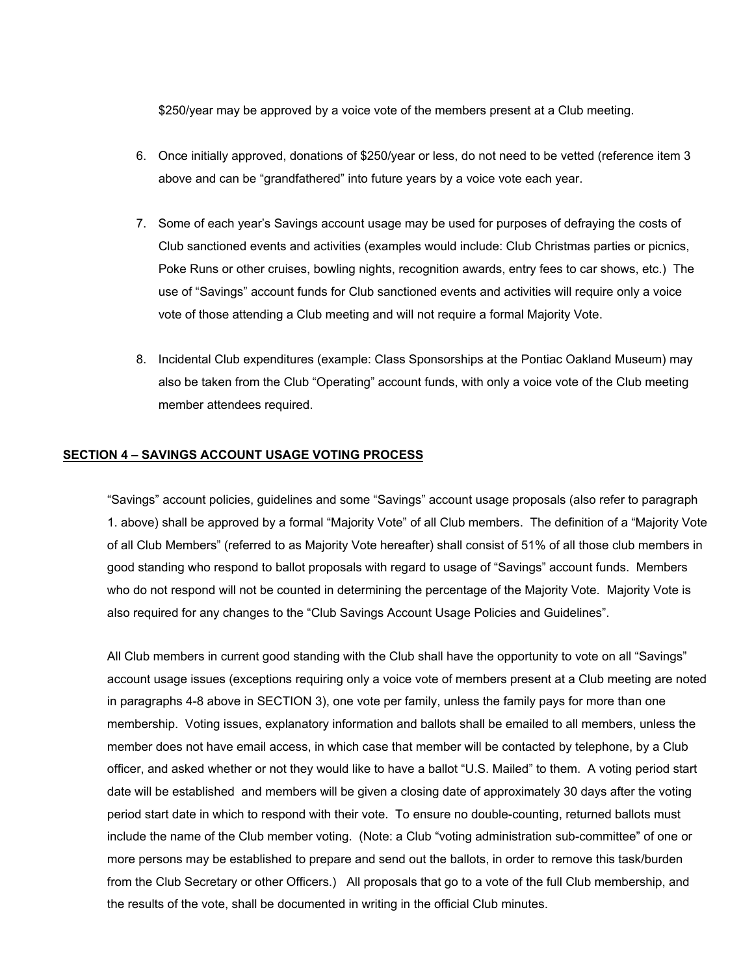\$250/year may be approved by a voice vote of the members present at a Club meeting.

- 6. Once initially approved, donations of \$250/year or less, do not need to be vetted (reference item 3 above and can be "grandfathered" into future years by a voice vote each year.
- 7. Some of each year's Savings account usage may be used for purposes of defraying the costs of Club sanctioned events and activities (examples would include: Club Christmas parties or picnics, Poke Runs or other cruises, bowling nights, recognition awards, entry fees to car shows, etc.) The use of "Savings" account funds for Club sanctioned events and activities will require only a voice vote of those attending a Club meeting and will not require a formal Majority Vote.
- 8. Incidental Club expenditures (example: Class Sponsorships at the Pontiac Oakland Museum) may also be taken from the Club "Operating" account funds, with only a voice vote of the Club meeting member attendees required.

#### **SECTION 4 – SAVINGS ACCOUNT USAGE VOTING PROCESS**

"Savings" account policies, guidelines and some "Savings" account usage proposals (also refer to paragraph 1. above) shall be approved by a formal "Majority Vote" of all Club members. The definition of a "Majority Vote of all Club Members" (referred to as Majority Vote hereafter) shall consist of 51% of all those club members in good standing who respond to ballot proposals with regard to usage of "Savings" account funds. Members who do not respond will not be counted in determining the percentage of the Majority Vote. Majority Vote is also required for any changes to the "Club Savings Account Usage Policies and Guidelines".

All Club members in current good standing with the Club shall have the opportunity to vote on all "Savings" account usage issues (exceptions requiring only a voice vote of members present at a Club meeting are noted in paragraphs 4-8 above in SECTION 3), one vote per family, unless the family pays for more than one membership. Voting issues, explanatory information and ballots shall be emailed to all members, unless the member does not have email access, in which case that member will be contacted by telephone, by a Club officer, and asked whether or not they would like to have a ballot "U.S. Mailed" to them. A voting period start date will be established and members will be given a closing date of approximately 30 days after the voting period start date in which to respond with their vote. To ensure no double-counting, returned ballots must include the name of the Club member voting. (Note: a Club "voting administration sub-committee" of one or more persons may be established to prepare and send out the ballots, in order to remove this task/burden from the Club Secretary or other Officers.) All proposals that go to a vote of the full Club membership, and the results of the vote, shall be documented in writing in the official Club minutes.